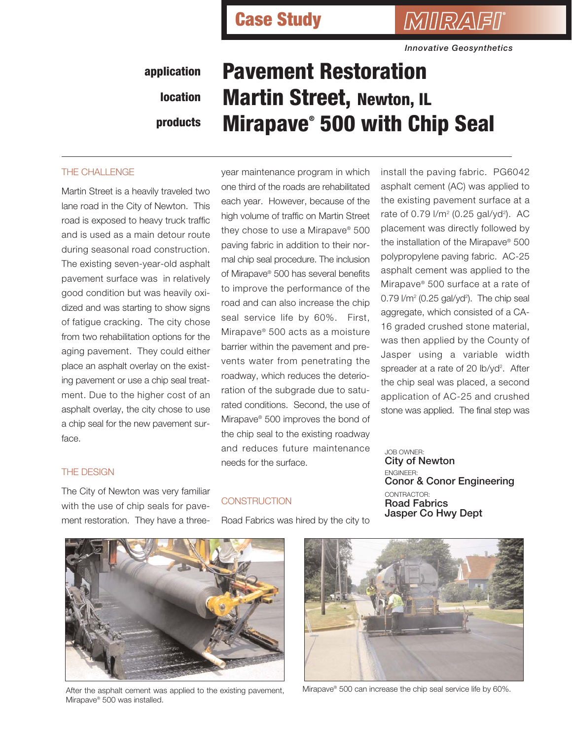*MIRAFI*\*

*Innovative Geosynthetics*

### **application location products**

# **Pavement Restoration Martin Street, Newton, IL Mirapave® 500 with Chip Seal**

#### THE CHALLENGE

Martin Street is a heavily traveled two lane road in the City of Newton. This road is exposed to heavy truck traffic and is used as a main detour route during seasonal road construction. The existing seven-year-old asphalt pavement surface was in relatively good condition but was heavily oxidized and was starting to show signs of fatigue cracking. The city chose from two rehabilitation options for the aging pavement. They could either place an asphalt overlay on the existing pavement or use a chip seal treatment. Due to the higher cost of an asphalt overlay, the city chose to use a chip seal for the new pavement surface.

year maintenance program in which one third of the roads are rehabilitated each year. However, because of the high volume of traffic on Martin Street they chose to use a Mirapave® 500 paving fabric in addition to their normal chip seal procedure. The inclusion of Mirapave® 500 has several benefits to improve the performance of the road and can also increase the chip seal service life by 60%. First, Mirapave® 500 acts as a moisture barrier within the pavement and prevents water from penetrating the roadway, which reduces the deterioration of the subgrade due to saturated conditions. Second, the use of Mirapave® 500 improves the bond of the chip seal to the existing roadway and reduces future maintenance needs for the surface.

install the paving fabric. PG6042 asphalt cement (AC) was applied to the existing pavement surface at a rate of 0.79 l/m<sup>2</sup> (0.25 gal/yd<sup>2</sup>). AC placement was directly followed by the installation of the Mirapave® 500 polypropylene paving fabric. AC-25 asphalt cement was applied to the Mirapave® 500 surface at a rate of  $0.79$  I/m<sup>2</sup> (0.25 gal/yd<sup>2</sup>). The chip seal aggregate, which consisted of a CA-16 graded crushed stone material, was then applied by the County of Jasper using a variable width spreader at a rate of 20 lb/yd<sup>2</sup>. After the chip seal was placed, a second application of AC-25 and crushed stone was applied. The final step was

#### THE DESIGN

The City of Newton was very familiar with the use of chip seals for pavement restoration. They have a three-

#### **CONSTRUCTION**

Road Fabrics was hired by the city to

JOB OWNER: **City of Newton** ENGINEER: **Conor & Conor Engineering** CONTRACTOR: **Road Fabrics Jasper Co Hwy Dept**

After the asphalt cement was applied to the existing pavement, Mirapave® 500 was installed.



Mirapave® 500 can increase the chip seal service life by 60%.